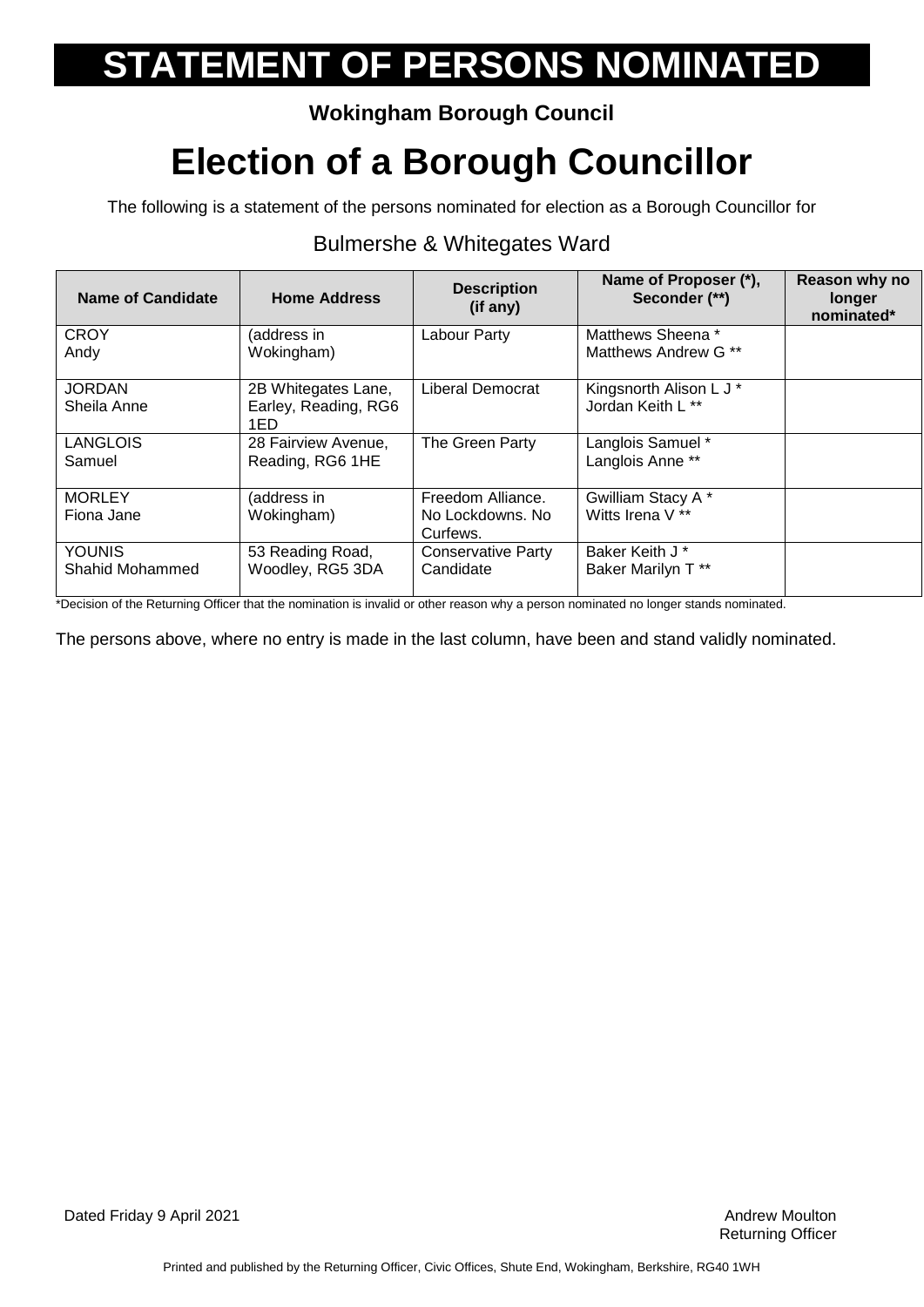### **Wokingham Borough Council**

## **Election of a Borough Councillor**

The following is a statement of the persons nominated for election as a Borough Councillor for

#### **Name of Candidate Home Address Description (if any) Name of Proposer (\*), Seconder (\*\*) Reason why no longer nominated\* CROY** Andy (address in Wokingham) Labour Party | Matthews Sheena \* Matthews Andrew G \*\* **JORDAN** Sheila Anne 2B Whitegates Lane, Earley, Reading, RG6 1ED Liberal Democrat | Kingsnorth Alison L J \* Jordan Keith L \*\* LANGLOIS Samuel 28 Fairview Avenue, Reading, RG6 1HE The Green Party | Langlois Samuel \* Langlois Anne \*\* **MORLEY** Fiona Jane (address in Wokingham) Freedom Alliance. No Lockdowns. No Curfews. Gwilliam Stacy A \* Witts Irena V \*\* YOUNIS Shahid Mohammed 53 Reading Road, Woodley, RG5 3DA Conservative Party **Candidate** Baker Keith J \* Baker Marilyn T \*\*

### Bulmershe & Whitegates Ward

\*Decision of the Returning Officer that the nomination is invalid or other reason why a person nominated no longer stands nominated.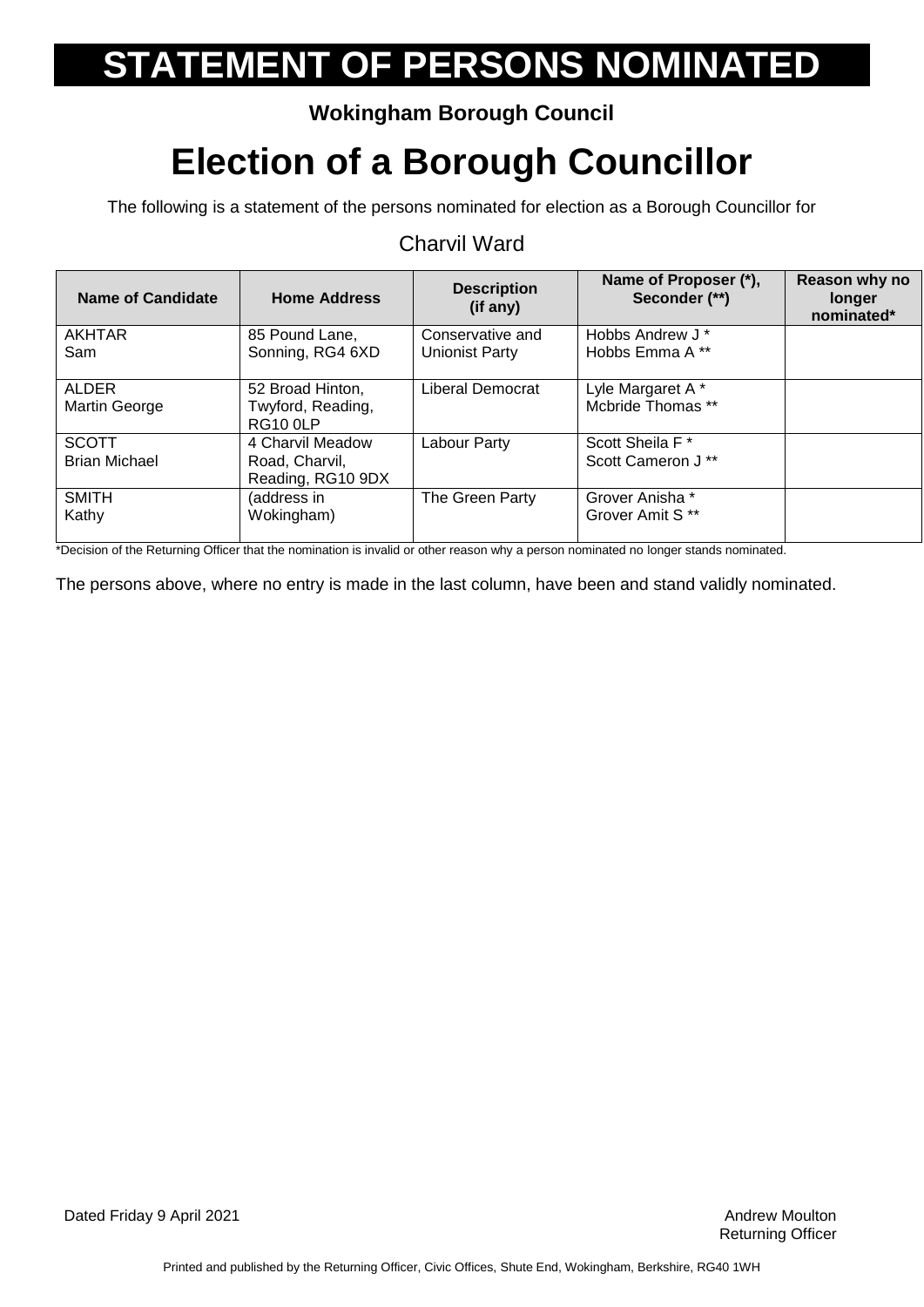### **Wokingham Borough Council**

### **Election of a Borough Councillor**

The following is a statement of the persons nominated for election as a Borough Councillor for

#### Charvil Ward

| Name of Candidate    | <b>Home Address</b>                  | <b>Description</b><br>(if any) | Name of Proposer (*),<br>Seconder (**) | Reason why no<br>longer<br>nominated* |
|----------------------|--------------------------------------|--------------------------------|----------------------------------------|---------------------------------------|
| AKHTAR               | 85 Pound Lane,                       | Conservative and               | Hobbs Andrew J*                        |                                       |
| Sam                  | Sonning, RG4 6XD                     | Unionist Party                 | Hobbs Emma A **                        |                                       |
| ALDER                | 52 Broad Hinton,                     | Liberal Democrat               | Lyle Margaret A*                       |                                       |
| Martin George        | Twyford, Reading,<br><b>RG10 0LP</b> |                                | Mcbride Thomas **                      |                                       |
| <b>SCOTT</b>         | 4 Charvil Meadow                     | Labour Party                   | Scott Sheila F*                        |                                       |
| <b>Brian Michael</b> | Road, Charvil,                       |                                | Scott Cameron J**                      |                                       |
|                      | Reading, RG10 9DX                    |                                |                                        |                                       |
| <b>SMITH</b>         | (address in                          | The Green Party                | Grover Anisha *                        |                                       |
| Kathy                | Wokingham)                           |                                | Grover Amit S <sup>**</sup>            |                                       |

\*Decision of the Returning Officer that the nomination is invalid or other reason why a person nominated no longer stands nominated.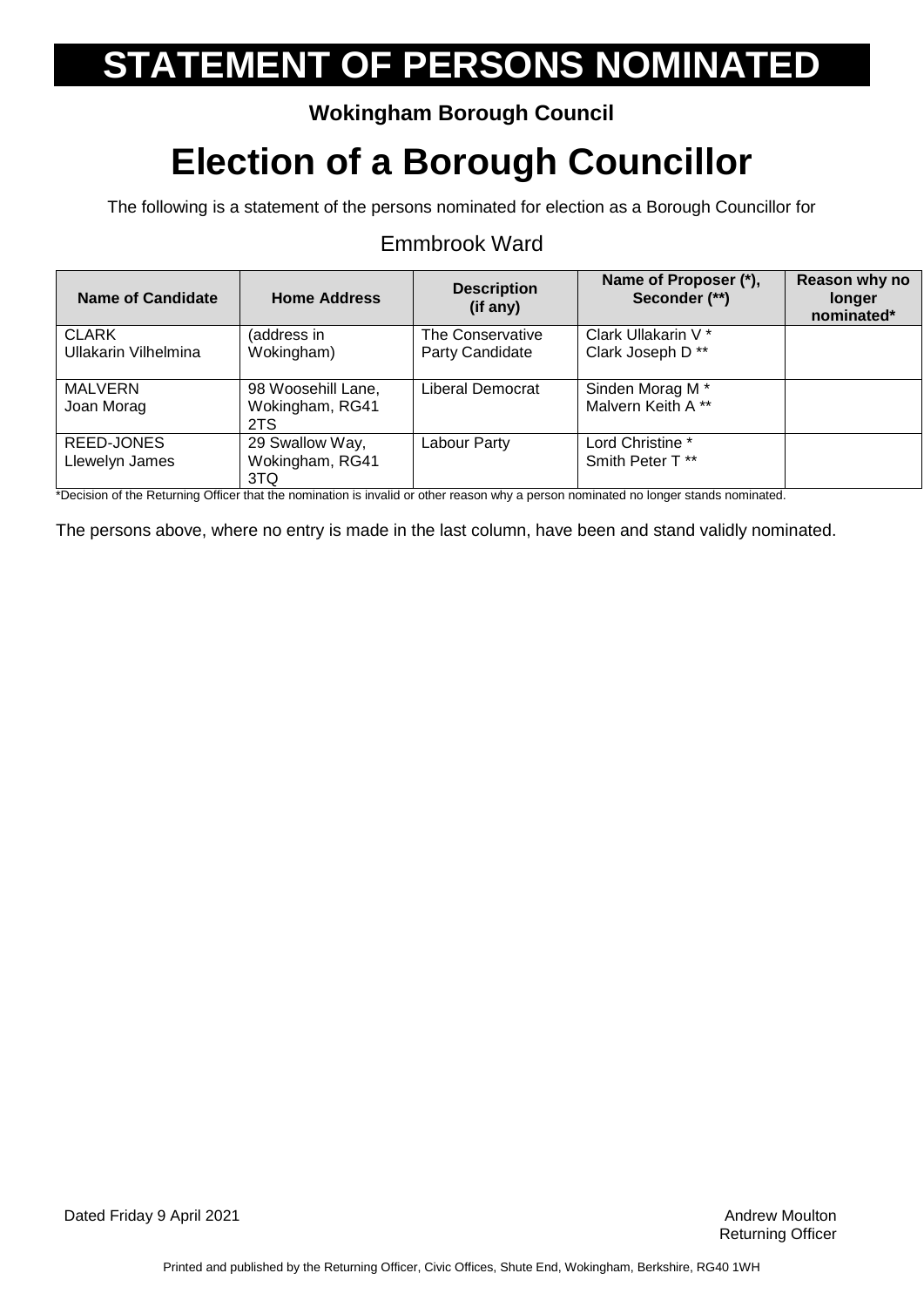### **Wokingham Borough Council**

## **Election of a Borough Councillor**

The following is a statement of the persons nominated for election as a Borough Councillor for

#### Emmbrook Ward

| Name of Candidate           | <b>Home Address</b> | <b>Description</b><br>$(if$ any) | Name of Proposer (*),<br>Seconder (**) | Reason why no<br>longer<br>nominated* |
|-----------------------------|---------------------|----------------------------------|----------------------------------------|---------------------------------------|
| <b>CLARK</b>                | (address in         | The Conservative                 | Clark Ullakarin V <sup>*</sup>         |                                       |
| <b>Ullakarin Vilhelmina</b> | Wokingham)          | Party Candidate                  | Clark Joseph D**                       |                                       |
| <b>MALVERN</b>              | 98 Woosehill Lane,  | Liberal Democrat                 | Sinden Morag M*                        |                                       |
| Joan Morag                  | Wokingham, RG41     |                                  | Malvern Keith A **                     |                                       |
|                             | 2TS                 |                                  |                                        |                                       |
| REED-JONES                  | 29 Swallow Way,     | Labour Party                     | Lord Christine *                       |                                       |
| Llewelyn James              | Wokingham, RG41     |                                  | Smith Peter T <sup>**</sup>            |                                       |
|                             | 3TQ                 |                                  |                                        |                                       |

\*Decision of the Returning Officer that the nomination is invalid or other reason why a person nominated no longer stands nominated.

The persons above, where no entry is made in the last column, have been and stand validly nominated.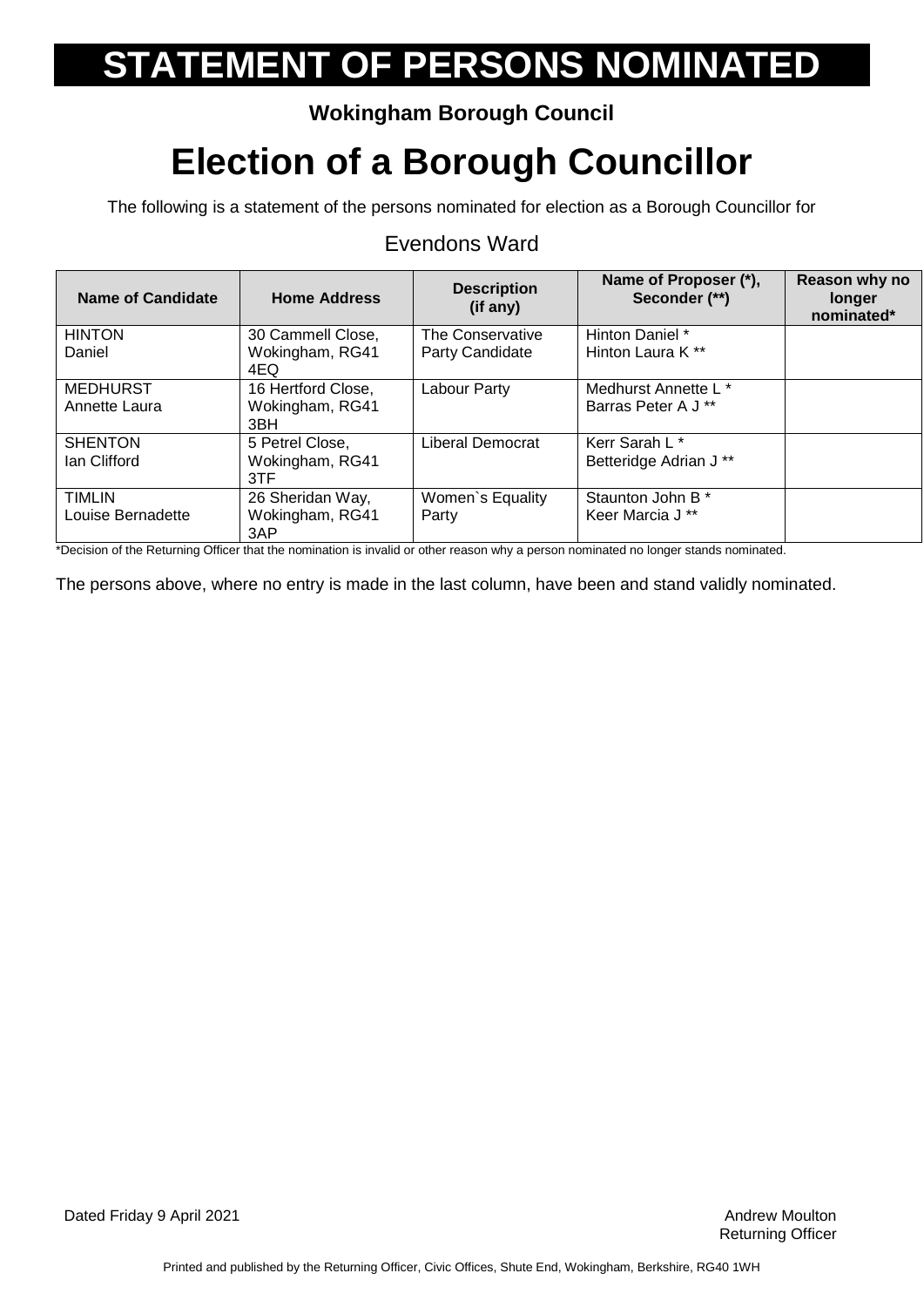### **Wokingham Borough Council**

## **Election of a Borough Councillor**

The following is a statement of the persons nominated for election as a Borough Councillor for

| <b>Name of Candidate</b>                                                                                                                                                                                                                          | <b>Home Address</b>     | <b>Description</b><br>(i f any) | Name of Proposer (*),<br>Seconder (**)                                                                                                                                                                                         | Reason why no<br>longer<br>nominated* |
|---------------------------------------------------------------------------------------------------------------------------------------------------------------------------------------------------------------------------------------------------|-------------------------|---------------------------------|--------------------------------------------------------------------------------------------------------------------------------------------------------------------------------------------------------------------------------|---------------------------------------|
| <b>HINTON</b>                                                                                                                                                                                                                                     | 30 Cammell Close,       | The Conservative                | Hinton Daniel *                                                                                                                                                                                                                |                                       |
| Daniel                                                                                                                                                                                                                                            | Wokingham, RG41<br>4EQ. | Party Candidate                 | Hinton Laura K <sup>**</sup>                                                                                                                                                                                                   |                                       |
| <b>MEDHURST</b>                                                                                                                                                                                                                                   | 16 Hertford Close,      | Labour Party                    | Medhurst Annette L *                                                                                                                                                                                                           |                                       |
| Annette Laura                                                                                                                                                                                                                                     | Wokingham, RG41<br>3BH  |                                 | Barras Peter A J **                                                                                                                                                                                                            |                                       |
| <b>SHENTON</b>                                                                                                                                                                                                                                    | 5 Petrel Close,         | <b>Liberal Democrat</b>         | Kerr Sarah L*                                                                                                                                                                                                                  |                                       |
| Ian Clifford                                                                                                                                                                                                                                      | Wokingham, RG41         |                                 | Betteridge Adrian J **                                                                                                                                                                                                         |                                       |
|                                                                                                                                                                                                                                                   | 3TF                     |                                 |                                                                                                                                                                                                                                |                                       |
| <b>TIMLIN</b>                                                                                                                                                                                                                                     | 26 Sheridan Way,        | Women's Equality                | Staunton John B *                                                                                                                                                                                                              |                                       |
| Louise Bernadette                                                                                                                                                                                                                                 | Wokingham, RG41<br>3AP  | Party                           | Keer Marcia J <sup>**</sup>                                                                                                                                                                                                    |                                       |
| $\bullet$ . The state of the $\bullet$ change of $\bullet$ $\bullet$ contracted as a contracted to the state of the contracted section of the state of the state of the state of the state of the state of the state of the state of the state of |                         |                                 | and the part of the collection of the collection of the collection of the collection of the collection of the collection of the collection of the collection of the collection of the collection of the collection of the coll |                                       |

#### Evendons Ward

\*Decision of the Returning Officer that the nomination is invalid or other reason why a person nominated no longer stands nominated.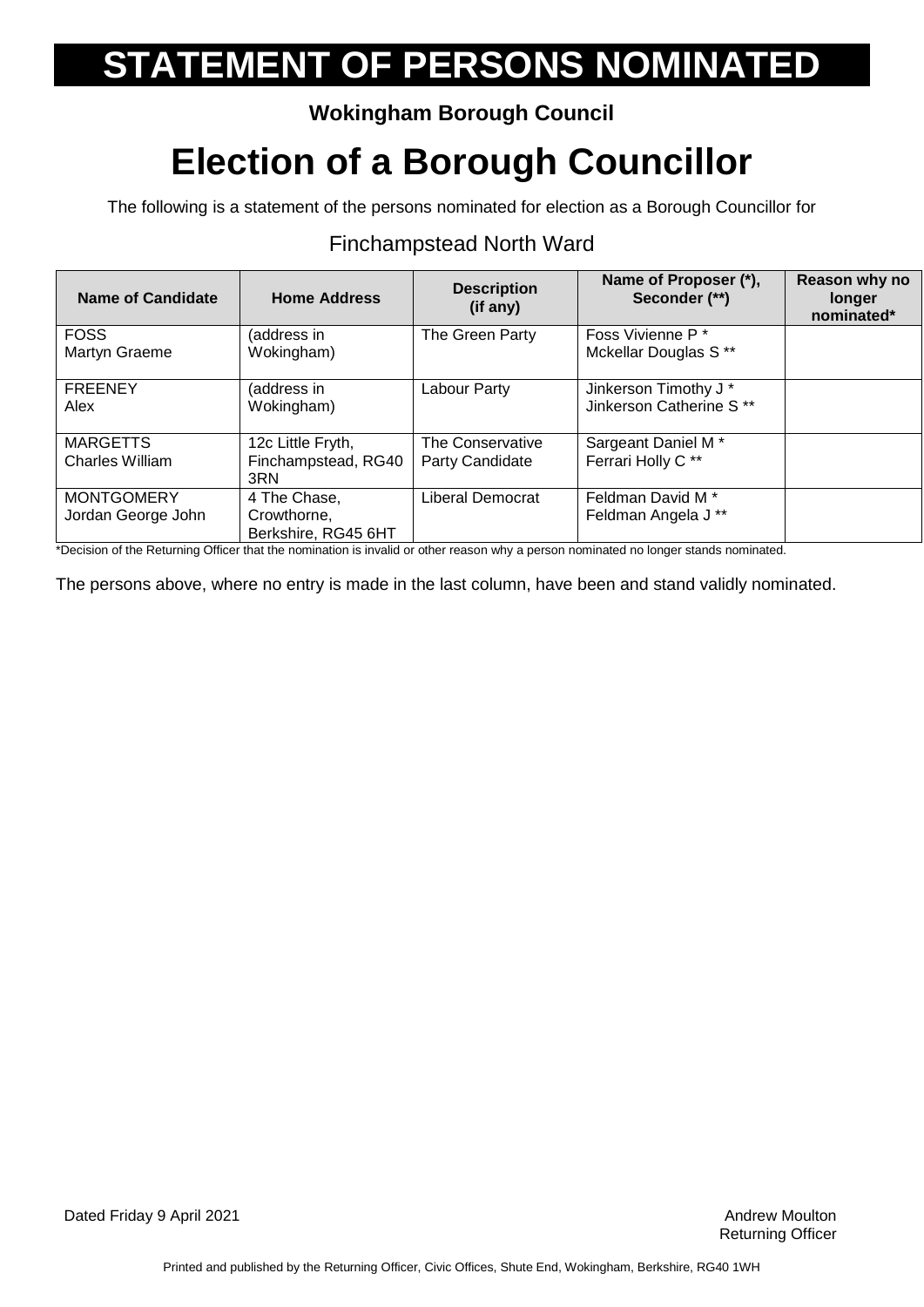### **Wokingham Borough Council**

## **Election of a Borough Councillor**

The following is a statement of the persons nominated for election as a Borough Councillor for

#### **Name of Candidate Home Address Description (if any) Name of Proposer (\*), Seconder (\*\*) Reason why no longer nominated\*** FOSS Martyn Graeme (address in Wokingham) The Green Party Foss Vivienne P<sup>\*</sup> Mckellar Douglas S \*\* **FREENEY** Alex (address in Wokingham) Labour Party Jinkerson Timothy J<sup>\*</sup> Jinkerson Catherine S \*\* **MARGETTS** Charles William 12c Little Fryth, Finchampstead, RG40 3RN The Conservative Party Candidate Sargeant Daniel M \* Ferrari Holly C \*\* **MONTGOMERY** Jordan George John 4 The Chase, Crowthorne, Berkshire, RG45 6HT Liberal Democrat | Feldman David M<sup>\*</sup> Feldman Angela J \*\*

### Finchampstead North Ward

\*Decision of the Returning Officer that the nomination is invalid or other reason why a person nominated no longer stands nominated.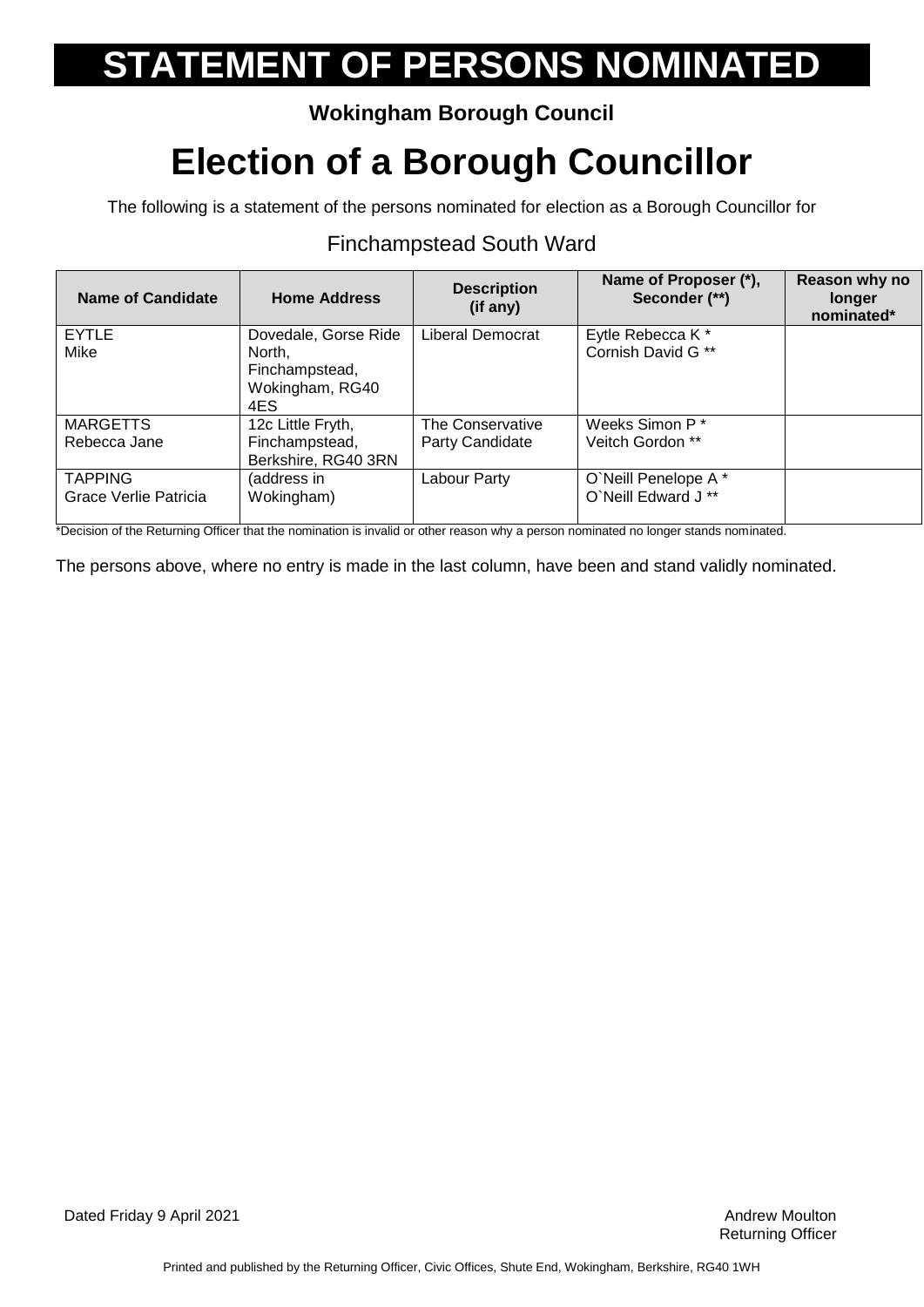### **Wokingham Borough Council**

## **Election of a Borough Councillor**

The following is a statement of the persons nominated for election as a Borough Councillor for

#### **Name of Candidate Home Address Description (if any) Name of Proposer (\*), Seconder (\*\*) Reason why no longer nominated\* EYTLE** Mike Dovedale, Gorse Ride North, Finchampstead, Wokingham, RG40 4ES Liberal Democrat | Eytle Rebecca K \* Cornish David G \*\* **MARGETTS** Rebecca Jane 12c Little Fryth, Finchampstead, Berkshire, RG40 3RN The Conservative Party Candidate Weeks Simon P \* Veitch Gordon \*\* **TAPPING** Grace Verlie Patricia (address in Wokingham) Labour Party | O`Neill Penelope A \* O`Neill Edward J \*\*

### Finchampstead South Ward

\*Decision of the Returning Officer that the nomination is invalid or other reason why a person nominated no longer stands nominated.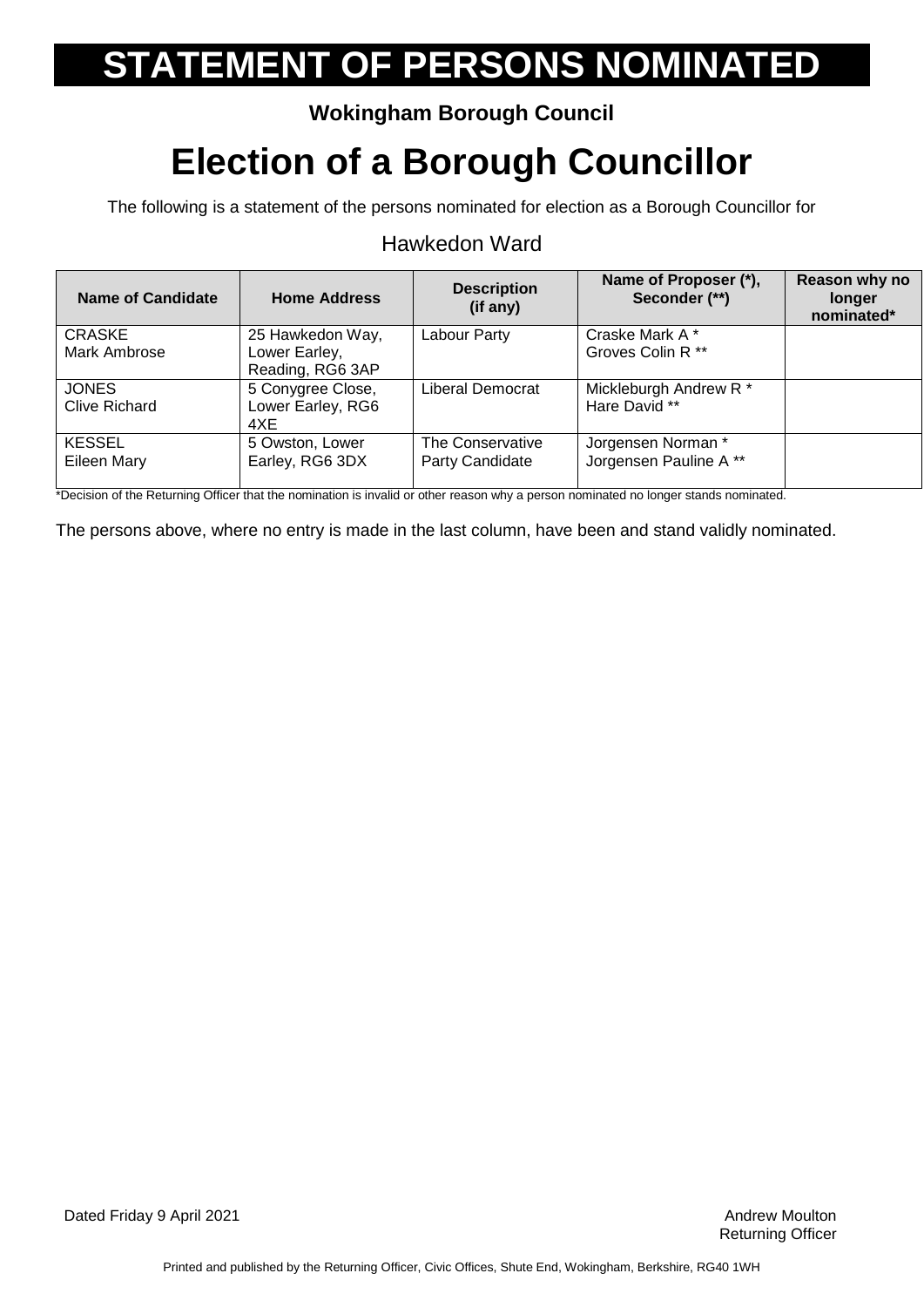### **Wokingham Borough Council**

## **Election of a Borough Councillor**

The following is a statement of the persons nominated for election as a Borough Councillor for

#### Hawkedon Ward

| <b>Name of Candidate</b> | <b>Home Address</b> | <b>Description</b><br>$(if$ any) | Name of Proposer (*),<br>Seconder (**) | Reason why no<br>longer<br>nominated* |
|--------------------------|---------------------|----------------------------------|----------------------------------------|---------------------------------------|
| <b>CRASKE</b>            | 25 Hawkedon Way,    | Labour Party                     | Craske Mark A*                         |                                       |
| Mark Ambrose             | Lower Earley,       |                                  | Groves Colin R **                      |                                       |
|                          | Reading, RG6 3AP    |                                  |                                        |                                       |
| <b>JONES</b>             | 5 Conygree Close,   | Liberal Democrat                 | Mickleburgh Andrew R*                  |                                       |
| <b>Clive Richard</b>     | Lower Earley, RG6   |                                  | Hare David **                          |                                       |
|                          | 4XE                 |                                  |                                        |                                       |
| <b>KESSEL</b>            | 5 Owston, Lower     | The Conservative                 | Jorgensen Norman *                     |                                       |
| Eileen Mary              | Earley, RG6 3DX     | Party Candidate                  | Jorgensen Pauline A **                 |                                       |
|                          |                     |                                  |                                        |                                       |

\*Decision of the Returning Officer that the nomination is invalid or other reason why a person nominated no longer stands nominated.

The persons above, where no entry is made in the last column, have been and stand validly nominated.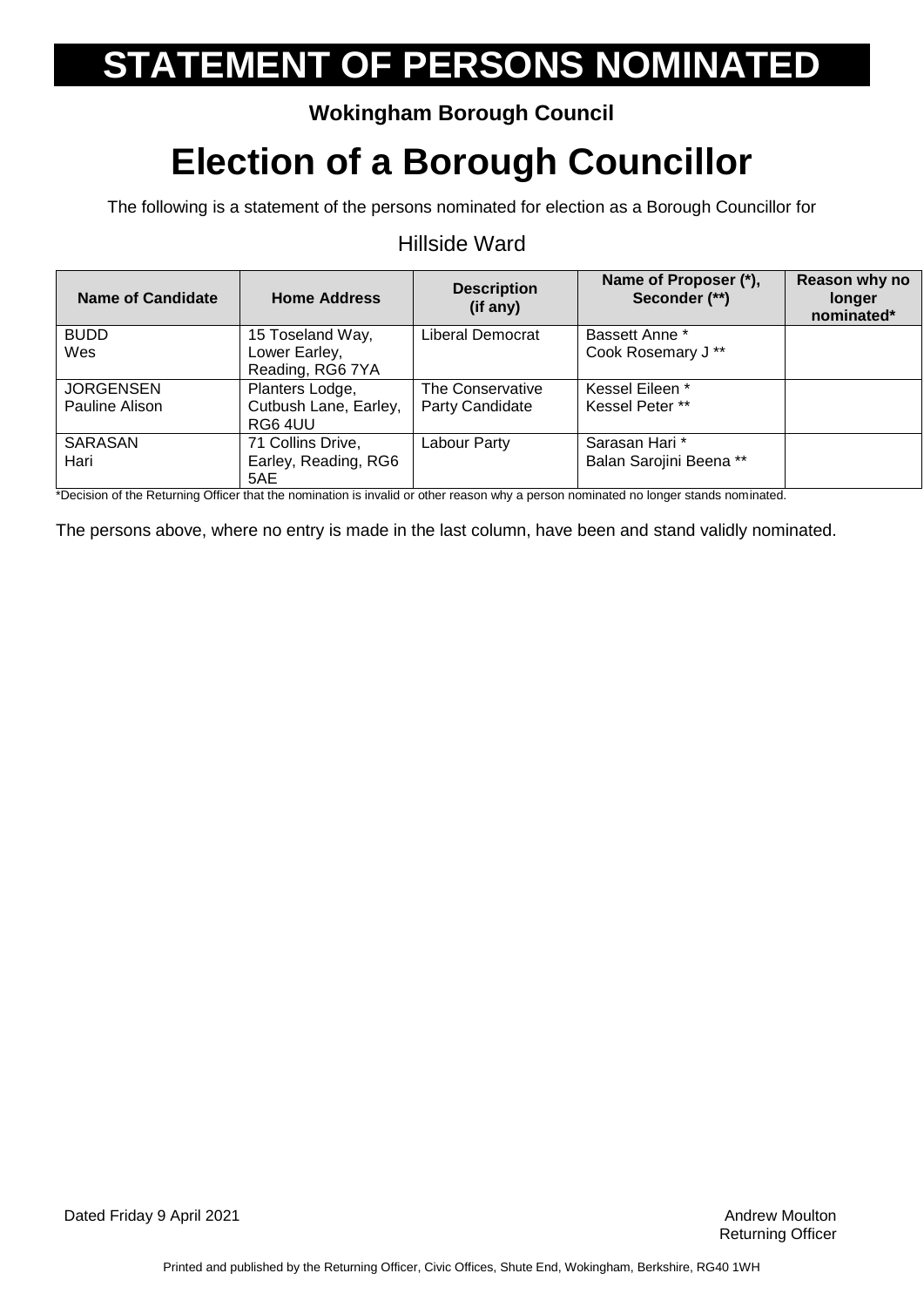### **Wokingham Borough Council**

## **Election of a Borough Councillor**

The following is a statement of the persons nominated for election as a Borough Councillor for

#### Hillside Ward

| Name of Candidate | <b>Home Address</b>   | <b>Description</b><br>(if any) | Name of Proposer (*),<br>Seconder (**) | Reason why no<br>longer<br>nominated* |
|-------------------|-----------------------|--------------------------------|----------------------------------------|---------------------------------------|
| <b>BUDD</b>       | 15 Toseland Way,      | Liberal Democrat               | <b>Bassett Anne *</b>                  |                                       |
| Wes               | Lower Earley,         |                                | Cook Rosemary J**                      |                                       |
|                   | Reading, RG6 7YA      |                                |                                        |                                       |
| <b>JORGENSEN</b>  | Planters Lodge,       | The Conservative               | Kessel Eileen *                        |                                       |
| Pauline Alison    | Cutbush Lane, Earley, | Party Candidate                | Kessel Peter **                        |                                       |
|                   | RG6 4UU               |                                |                                        |                                       |
| SARASAN           | 71 Collins Drive,     | Labour Party                   | Sarasan Hari *                         |                                       |
| Hari              | Earley, Reading, RG6  |                                | Balan Sarojini Beena **                |                                       |
|                   | 5AE                   |                                |                                        |                                       |

\*Decision of the Returning Officer that the nomination is invalid or other reason why a person nominated no longer stands nominated.

The persons above, where no entry is made in the last column, have been and stand validly nominated.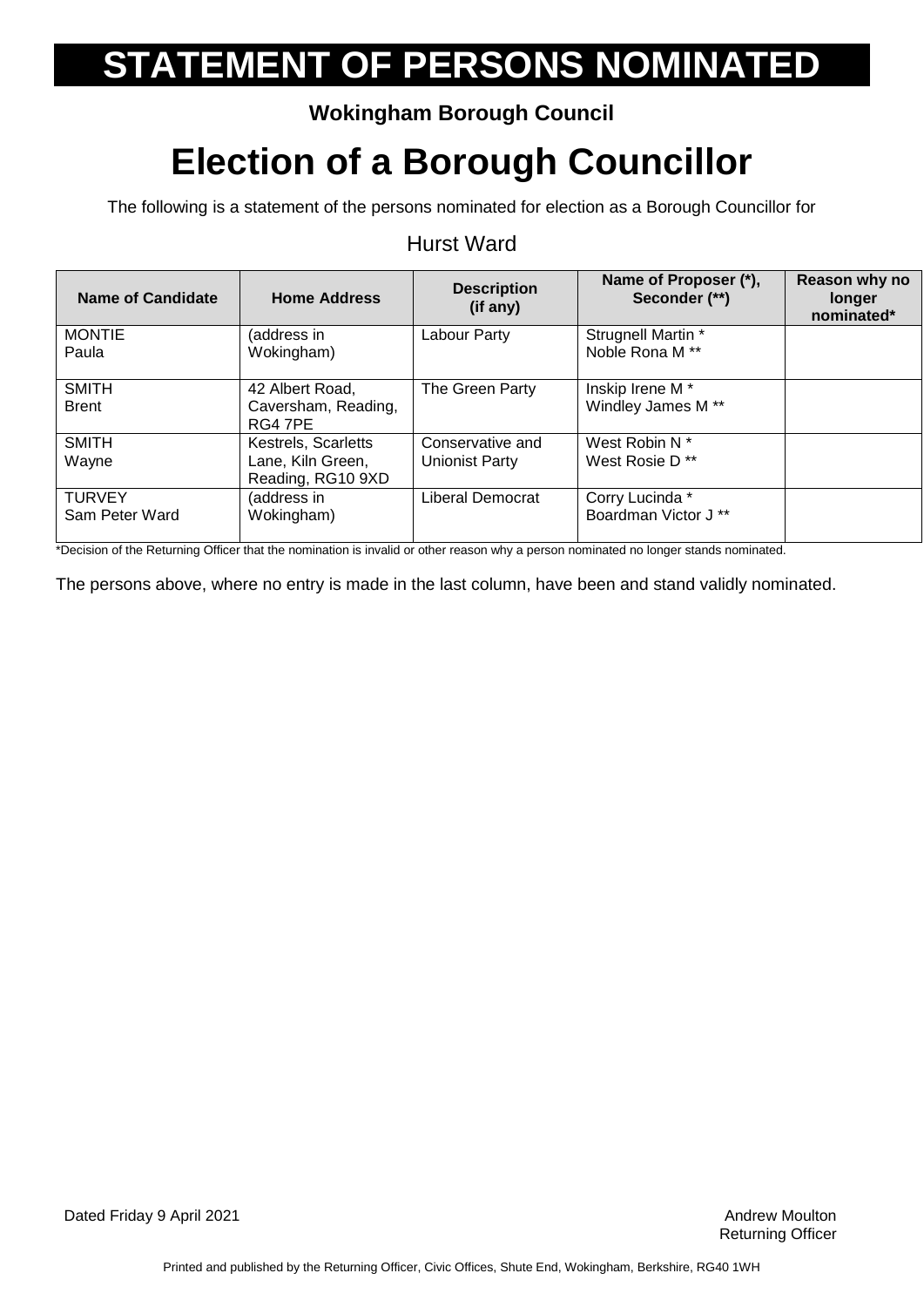### **Wokingham Borough Council**

## **Election of a Borough Councillor**

The following is a statement of the persons nominated for election as a Borough Councillor for

#### Hurst Ward

| Name of Candidate | <b>Home Address</b>                    | <b>Description</b><br>(if any) | Name of Proposer (*),<br>Seconder (**) | Reason why no<br>longer<br>nominated* |
|-------------------|----------------------------------------|--------------------------------|----------------------------------------|---------------------------------------|
| <b>MONTIE</b>     | (address in                            | Labour Party                   | Strugnell Martin *                     |                                       |
| Paula             | Wokingham)                             |                                | Noble Rona M <sup>**</sup>             |                                       |
| <b>SMITH</b>      | 42 Albert Road,                        | The Green Party                | Inskip Irene M <sup>*</sup>            |                                       |
| <b>Brent</b>      | Caversham, Reading,<br>RG4 7PE         |                                | Windley James M **                     |                                       |
| <b>SMITH</b>      | Kestrels, Scarletts                    | Conservative and               | West Robin N *                         |                                       |
| Wayne             | Lane, Kiln Green,<br>Reading, RG10 9XD | <b>Unionist Party</b>          | West Rosie D <sup>**</sup>             |                                       |
| <b>TURVEY</b>     | (address in                            | Liberal Democrat               | Corry Lucinda *                        |                                       |
| Sam Peter Ward    | Wokingham)                             |                                | Boardman Victor J **                   |                                       |

\*Decision of the Returning Officer that the nomination is invalid or other reason why a person nominated no longer stands nominated.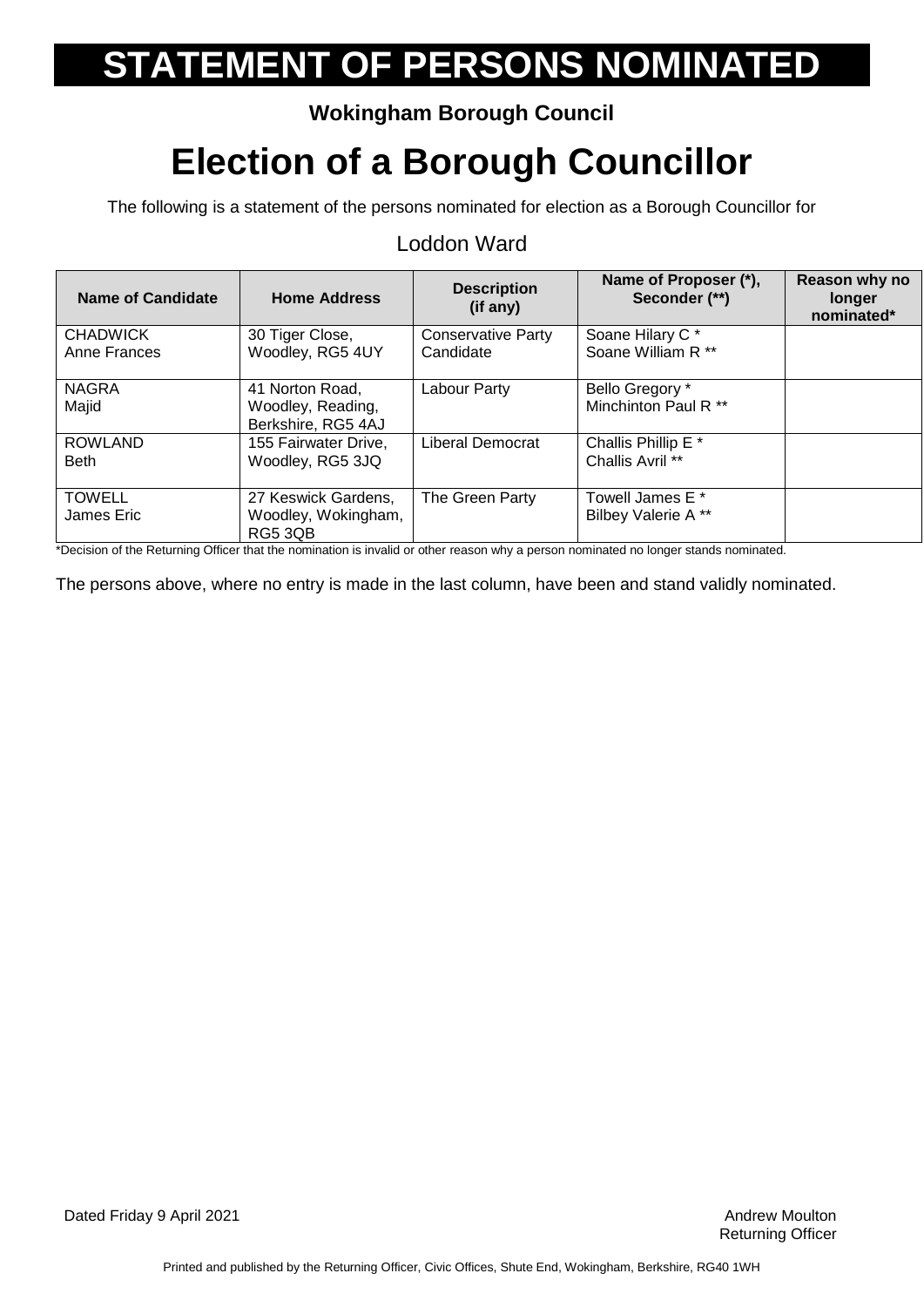### **Wokingham Borough Council**

## **Election of a Borough Councillor**

The following is a statement of the persons nominated for election as a Borough Councillor for

| <b>Name of Candidate</b> | <b>Home Address</b>  | <b>Description</b><br>(if any) | Name of Proposer (*),<br>Seconder (**)                                                                                            | Reason why no<br>longer<br>nominated* |
|--------------------------|----------------------|--------------------------------|-----------------------------------------------------------------------------------------------------------------------------------|---------------------------------------|
| <b>CHADWICK</b>          | 30 Tiger Close,      | <b>Conservative Party</b>      | Soane Hilary C*                                                                                                                   |                                       |
| Anne Frances             | Woodley, RG5 4UY     | Candidate                      | Soane William R **                                                                                                                |                                       |
| <b>NAGRA</b>             | 41 Norton Road.      | Labour Party                   | Bello Gregory *                                                                                                                   |                                       |
| Majid                    | Woodley, Reading,    |                                | Minchinton Paul R <sup>**</sup>                                                                                                   |                                       |
|                          | Berkshire, RG5 4AJ   |                                |                                                                                                                                   |                                       |
| <b>ROWLAND</b>           | 155 Fairwater Drive, | Liberal Democrat               | Challis Phillip E <sup>*</sup>                                                                                                    |                                       |
| <b>Beth</b>              | Woodley, RG5 3JQ     |                                | Challis Avril **                                                                                                                  |                                       |
| <b>TOWELL</b>            | 27 Keswick Gardens,  | The Green Party                | Towell James E *                                                                                                                  |                                       |
| James Eric               | Woodley, Wokingham,  |                                | Bilbey Valerie A**                                                                                                                |                                       |
|                          | RG5 3QB              |                                | *Desisian af the Detunion Officer that the meminetics is involid another measure where a memory conjuntable of the design memines |                                       |

#### Loddon Ward

\*Decision of the Returning Officer that the nomination is invalid or other reason why a person nominated no longer stands nominated.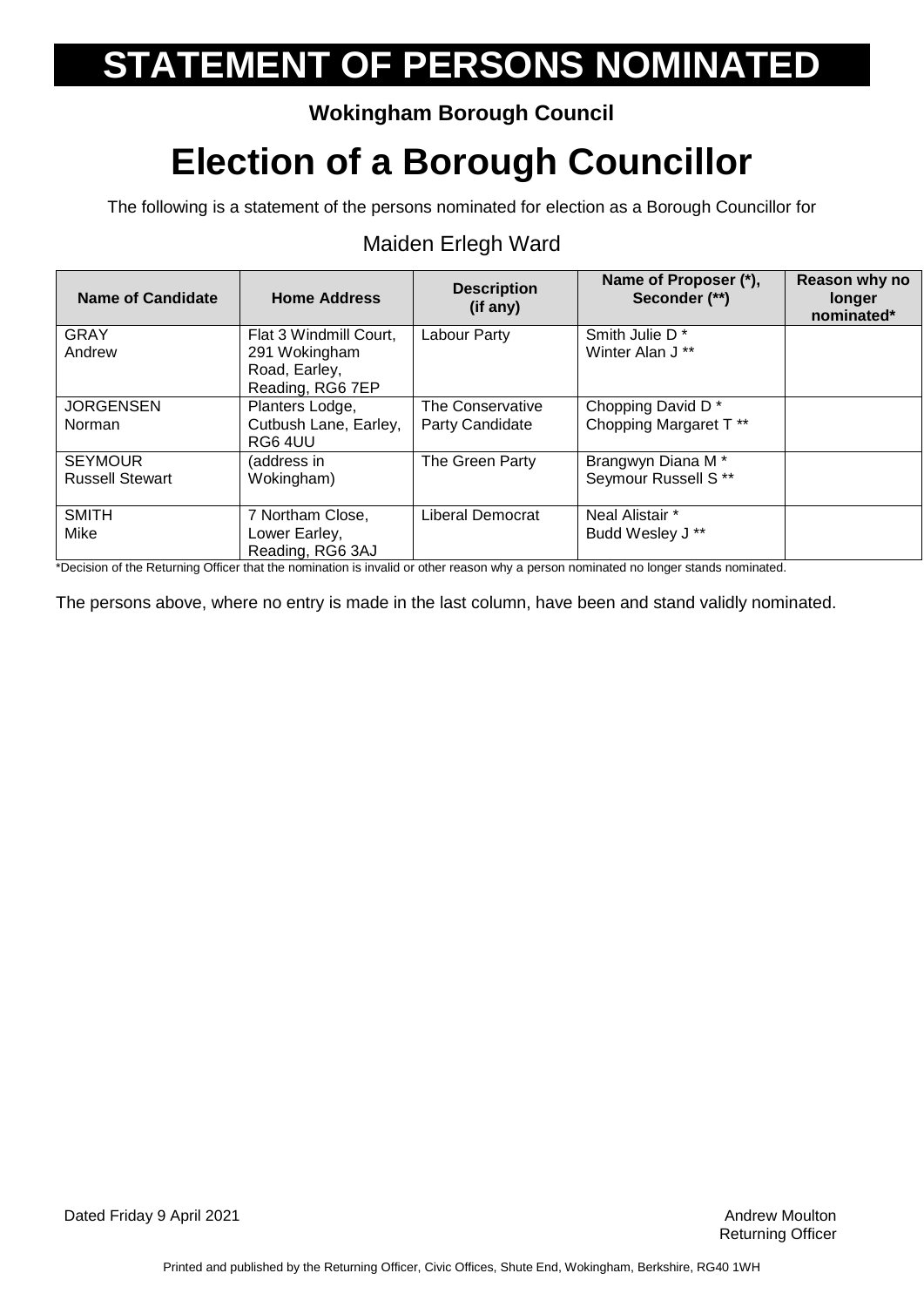### **Wokingham Borough Council**

## **Election of a Borough Councillor**

The following is a statement of the persons nominated for election as a Borough Councillor for

| <b>Name of Candidate</b> | <b>Home Address</b>    | <b>Description</b><br>(if any) | Name of Proposer (*),<br>Seconder (**)                                                                                              | Reason why no<br>longer<br>nominated* |
|--------------------------|------------------------|--------------------------------|-------------------------------------------------------------------------------------------------------------------------------------|---------------------------------------|
| <b>GRAY</b>              | Flat 3 Windmill Court, | Labour Party                   | Smith Julie D <sup>*</sup>                                                                                                          |                                       |
| Andrew                   | 291 Wokingham          |                                | Winter Alan J <sup>**</sup>                                                                                                         |                                       |
|                          | Road, Earley,          |                                |                                                                                                                                     |                                       |
|                          | Reading, RG6 7EP       |                                |                                                                                                                                     |                                       |
| <b>JORGENSEN</b>         | Planters Lodge,        | The Conservative               | Chopping David D <sup>*</sup>                                                                                                       |                                       |
| <b>Norman</b>            | Cutbush Lane, Earley,  | Party Candidate                | Chopping Margaret T <sup>**</sup>                                                                                                   |                                       |
|                          | RG6 4UU                |                                |                                                                                                                                     |                                       |
| <b>SEYMOUR</b>           | (address in            | The Green Party                | Brangwyn Diana M <sup>*</sup>                                                                                                       |                                       |
| <b>Russell Stewart</b>   | Wokingham)             |                                | Seymour Russell S **                                                                                                                |                                       |
|                          |                        |                                |                                                                                                                                     |                                       |
| <b>SMITH</b>             | 7 Northam Close,       | Liberal Democrat               | Neal Alistair *                                                                                                                     |                                       |
| Mike                     | Lower Earley,          |                                | Budd Wesley J **                                                                                                                    |                                       |
|                          | Reading, RG6 3AJ       |                                |                                                                                                                                     |                                       |
|                          |                        |                                | *Decision of the Peturning Officer that the nomination is invalid or other reason why a person nominated no lenger stands nominated |                                       |

### Maiden Erlegh Ward

of the Returning Officer that the nomination is invalid or other reason why a person nominated no longer stands nominated.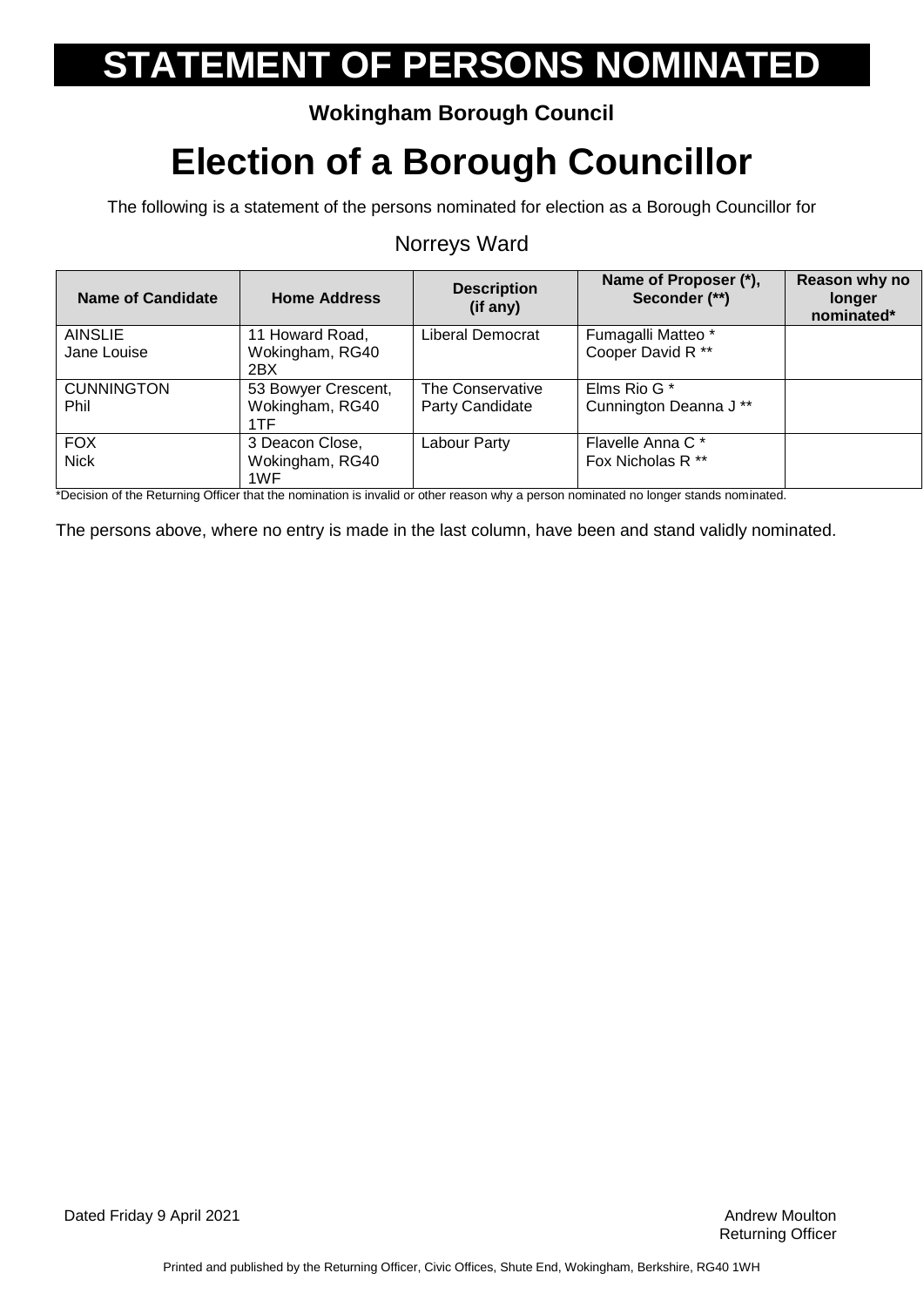### **Wokingham Borough Council**

## **Election of a Borough Councillor**

The following is a statement of the persons nominated for election as a Borough Councillor for

#### Norreys Ward

| Name of Candidate | <b>Home Address</b>    | <b>Description</b><br>(if any) | Name of Proposer (*),<br>Seconder (**) | Reason why no<br>longer<br>nominated* |
|-------------------|------------------------|--------------------------------|----------------------------------------|---------------------------------------|
| <b>AINSLIE</b>    | 11 Howard Road,        | Liberal Democrat               | Fumagalli Matteo *                     |                                       |
| Jane Louise       | Wokingham, RG40<br>2BX |                                | Cooper David R **                      |                                       |
| <b>CUNNINGTON</b> | 53 Bowyer Crescent,    | The Conservative               | Elms Rio G *                           |                                       |
| Phil              | Wokingham, RG40<br>1TF | Party Candidate                | Cunnington Deanna J <sup>**</sup>      |                                       |
| <b>FOX</b>        | 3 Deacon Close,        | Labour Party                   | Flavelle Anna C*                       |                                       |
| <b>Nick</b>       | Wokingham, RG40<br>1WF |                                | Fox Nicholas R <sup>**</sup>           |                                       |

\*Decision of the Returning Officer that the nomination is invalid or other reason why a person nominated no longer stands nominated.

The persons above, where no entry is made in the last column, have been and stand validly nominated.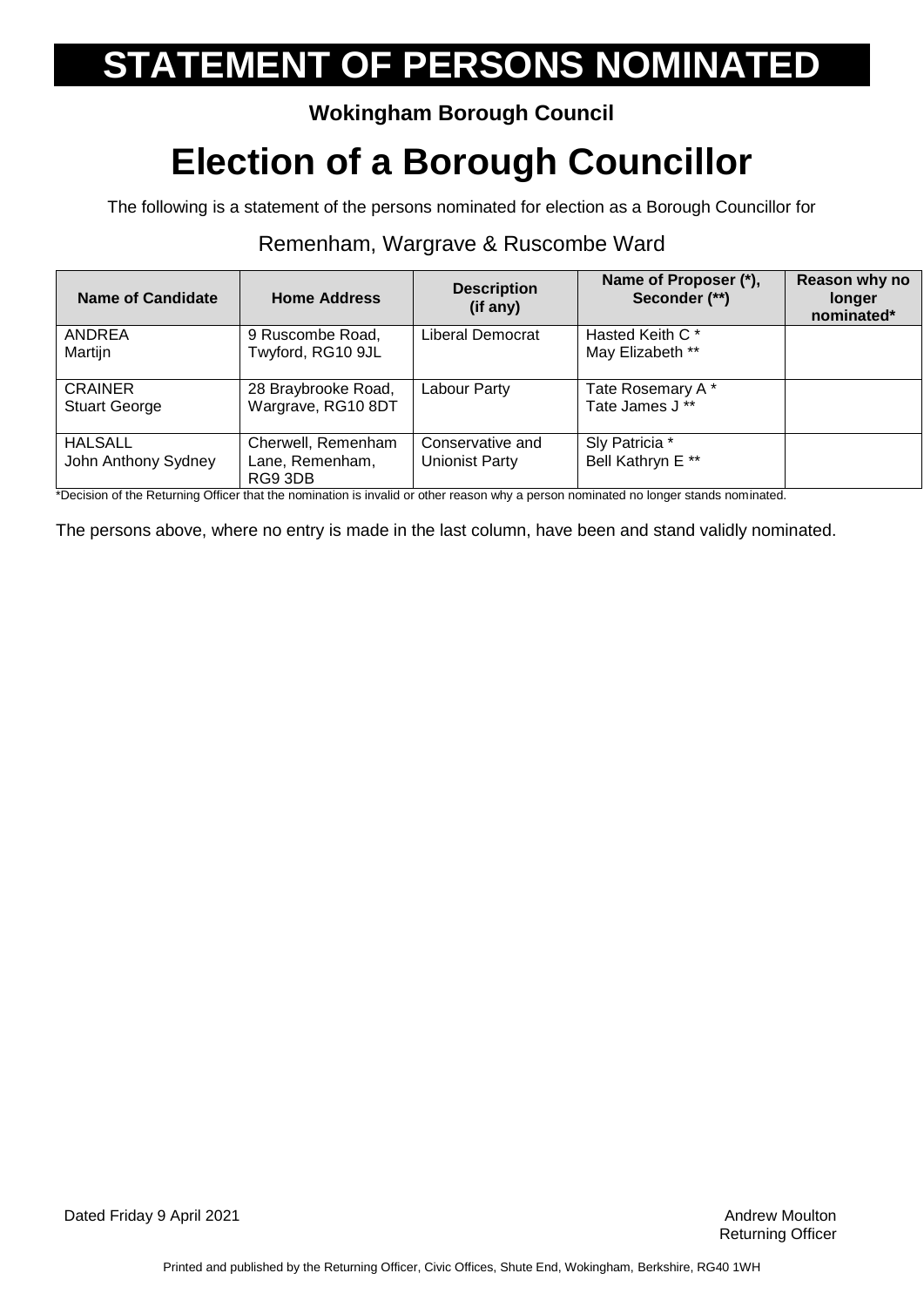### **Wokingham Borough Council**

## **Election of a Borough Councillor**

The following is a statement of the persons nominated for election as a Borough Councillor for

#### Remenham, Wargrave & Ruscombe Ward

| Name of Candidate    | <b>Home Address</b>        | <b>Description</b><br>(if any) | Name of Proposer (*),<br>Seconder (**) | Reason why no<br>longer<br>nominated* |
|----------------------|----------------------------|--------------------------------|----------------------------------------|---------------------------------------|
| ANDREA               | 9 Ruscombe Road,           | Liberal Democrat               | Hasted Keith C <sup>*</sup>            |                                       |
| Martijn              | Twyford, RG10 9JL          |                                | May Elizabeth **                       |                                       |
| <b>CRAINER</b>       | 28 Braybrooke Road,        | Labour Party                   | Tate Rosemary A*                       |                                       |
| <b>Stuart George</b> | Wargrave, RG10 8DT         |                                | Tate James J **                        |                                       |
| <b>HALSALL</b>       | Cherwell, Remenham         | Conservative and               | Sly Patricia *                         |                                       |
| John Anthony Sydney  | Lane, Remenham,<br>RG9 3DB | Unionist Party                 | Bell Kathryn E**                       |                                       |

\*Decision of the Returning Officer that the nomination is invalid or other reason why a person nominated no longer stands nominated.

The persons above, where no entry is made in the last column, have been and stand validly nominated.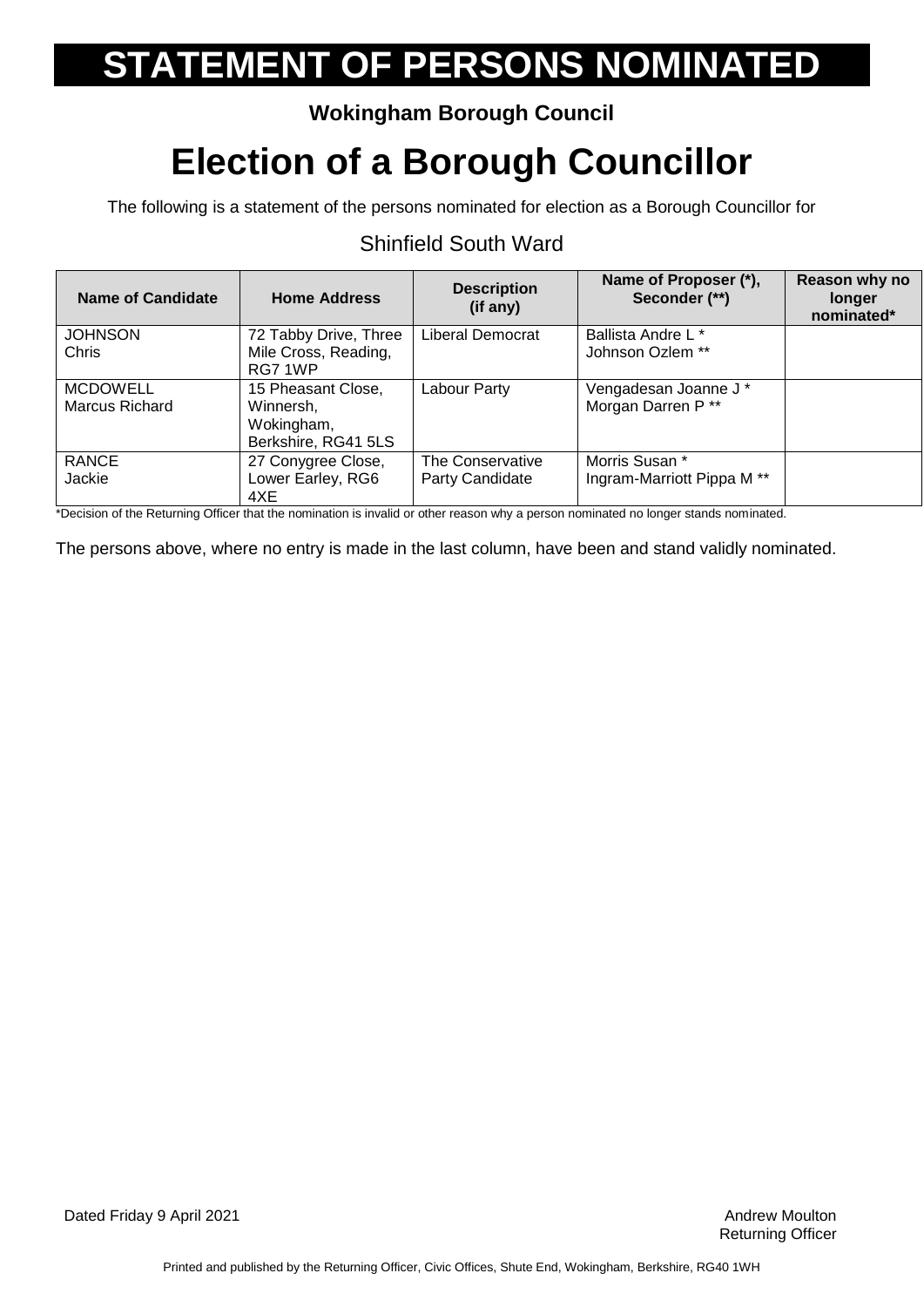### **Wokingham Borough Council**

## **Election of a Borough Councillor**

The following is a statement of the persons nominated for election as a Borough Councillor for

| Name of Candidate | <b>Home Address</b>             | <b>Description</b><br>(if any) | Name of Proposer (*),<br>Seconder (**) | Reason why no<br>longer<br>nominated* |
|-------------------|---------------------------------|--------------------------------|----------------------------------------|---------------------------------------|
| <b>JOHNSON</b>    | 72 Tabby Drive, Three           | Liberal Democrat               | <b>Ballista Andre L *</b>              |                                       |
| Chris             | Mile Cross, Reading,<br>RG7 1WP |                                | Johnson Ozlem **                       |                                       |
| <b>MCDOWELL</b>   | 15 Pheasant Close,              | Labour Party                   | Vengadesan Joanne J *                  |                                       |
| Marcus Richard    | Winnersh,                       |                                | Morgan Darren P **                     |                                       |
|                   | Wokingham,                      |                                |                                        |                                       |
|                   | Berkshire, RG41 5LS             |                                |                                        |                                       |
| <b>RANCE</b>      | 27 Conygree Close,              | The Conservative               | Morris Susan *                         |                                       |
| Jackie            | Lower Earley, RG6               | Party Candidate                | Ingram-Marriott Pippa M <sup>**</sup>  |                                       |
|                   | 4XE                             |                                |                                        |                                       |

### Shinfield South Ward

\*Decision of the Returning Officer that the nomination is invalid or other reason why a person nominated no longer stands nominated.

The persons above, where no entry is made in the last column, have been and stand validly nominated.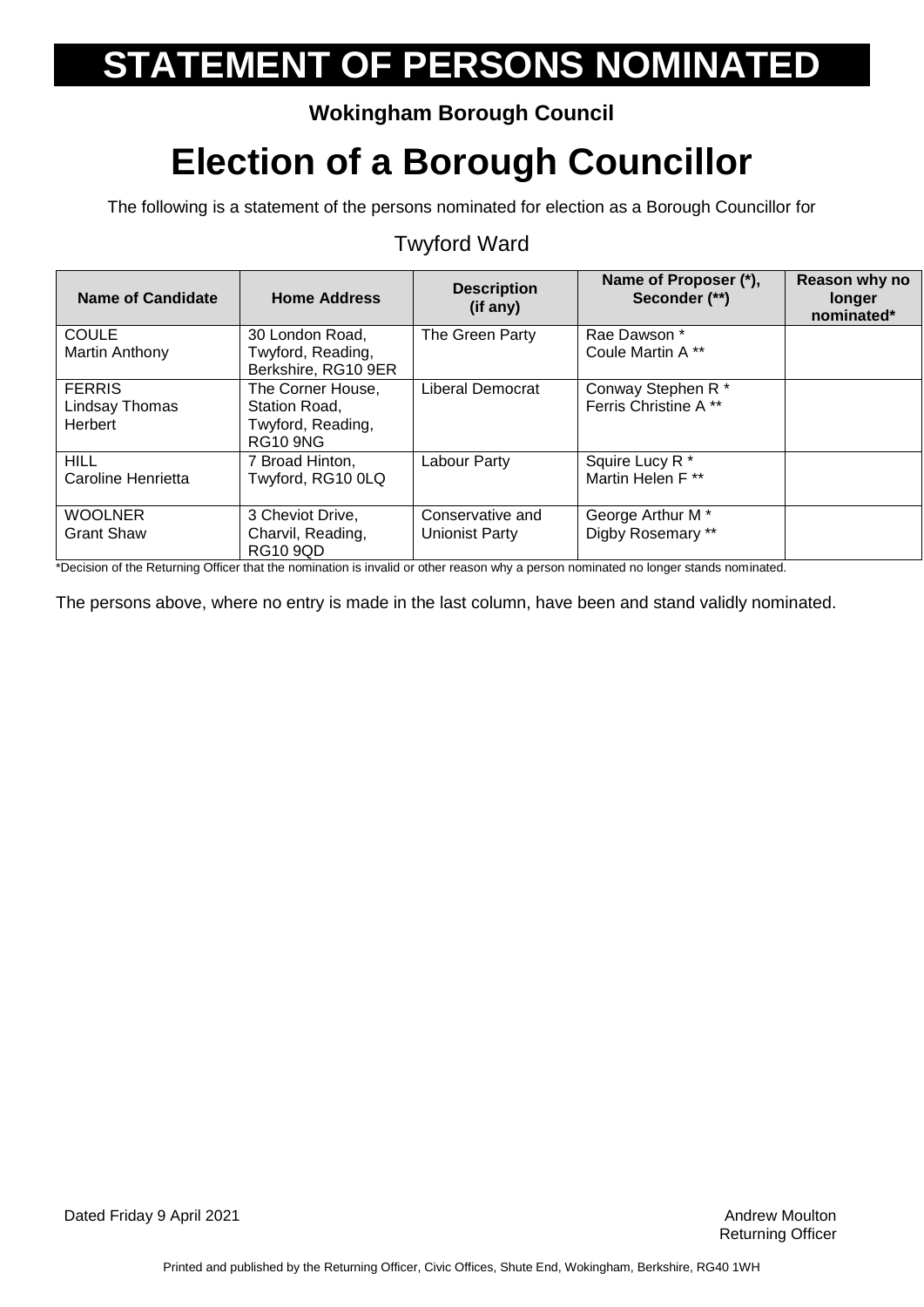### **Wokingham Borough Council**

### **Election of a Borough Councillor**

The following is a statement of the persons nominated for election as a Borough Councillor for

#### **Name of Candidate Home Address Description (if any) Name of Proposer (\*), Seconder (\*\*) Reason why no longer nominated\* COULE** Martin Anthony 30 London Road, Twyford, Reading, Berkshire, RG10 9ER The Green Party | Rae Dawson \* Coule Martin A \*\* FERRIS Lindsay Thomas **Herbert** The Corner House, Station Road, Twyford, Reading, RG10 9NG Liberal Democrat | Conway Stephen R \* Ferris Christine A \*\* **HILL** Caroline Henrietta 7 Broad Hinton, Twyford, RG10 0LQ Labour Party Squire Lucy R<sup>\*</sup> Martin Helen F \*\* WOOLNER Grant Shaw 3 Cheviot Drive, Charvil, Reading, RG10 9QD Conservative and Unionist Party George Arthur M \* Digby Rosemary \*\*

### Twyford Ward

\*Decision of the Returning Officer that the nomination is invalid or other reason why a person nominated no longer stands nominated.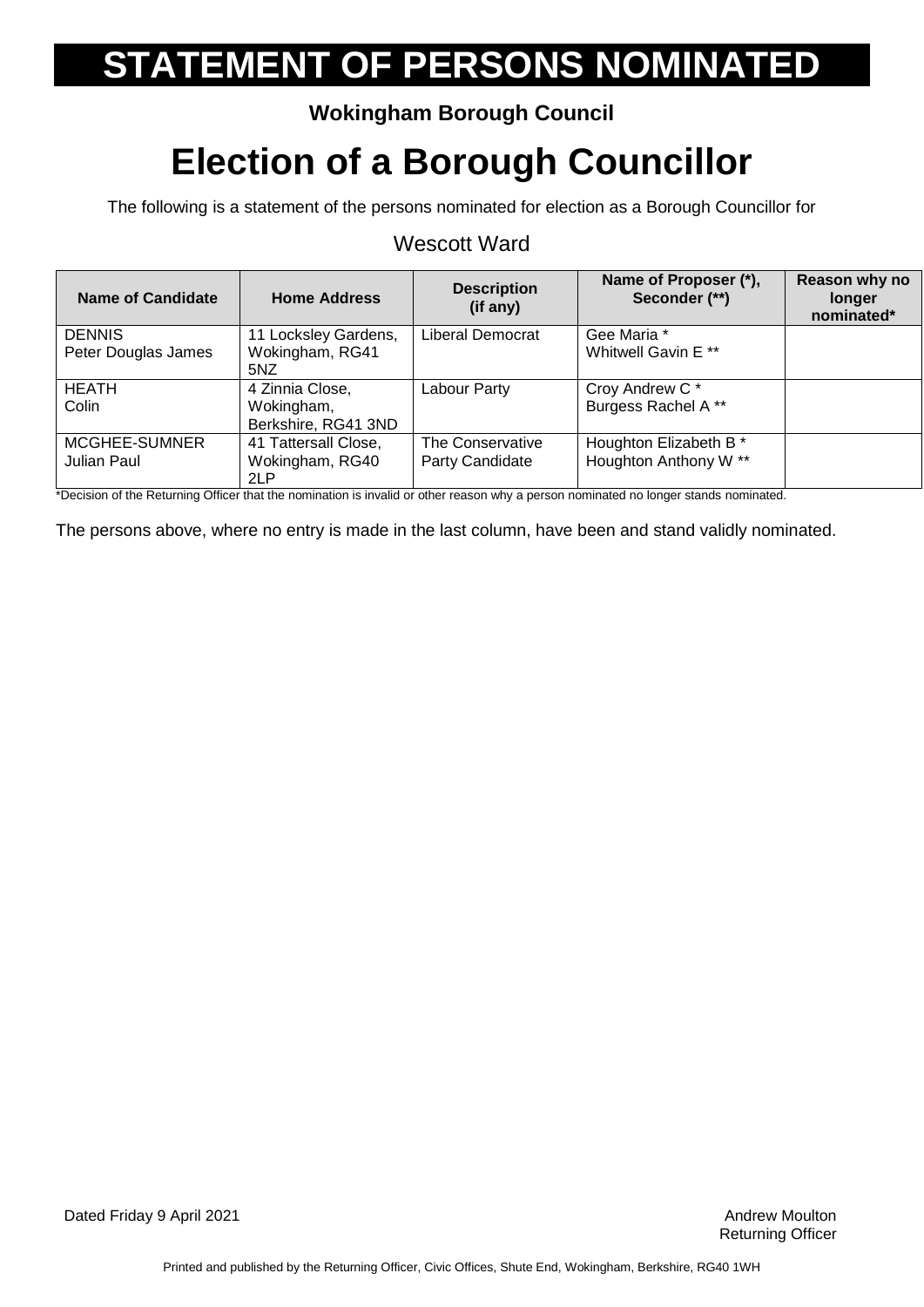### **Wokingham Borough Council**

## **Election of a Borough Councillor**

The following is a statement of the persons nominated for election as a Borough Councillor for

#### Wescott Ward

| <b>Name of Candidate</b> | <b>Home Address</b>  | <b>Description</b><br>(if any) | Name of Proposer (*),<br>Seconder (**) | Reason why no<br>longer<br>nominated* |
|--------------------------|----------------------|--------------------------------|----------------------------------------|---------------------------------------|
| <b>DENNIS</b>            | 11 Locksley Gardens, | Liberal Democrat               | Gee Maria *                            |                                       |
| Peter Douglas James      | Wokingham, RG41      |                                | Whitwell Gavin E <sup>**</sup>         |                                       |
|                          | 5NZ                  |                                |                                        |                                       |
| <b>HEATH</b>             | 4 Zinnia Close,      | Labour Party                   | Croy Andrew C*                         |                                       |
| Colin                    | Wokingham,           |                                | Burgess Rachel A**                     |                                       |
|                          | Berkshire, RG41 3ND  |                                |                                        |                                       |
| MCGHEE-SUMNER            | 41 Tattersall Close, | The Conservative               | Houghton Elizabeth B *                 |                                       |
| Julian Paul              | Wokingham, RG40      | Party Candidate                | Houghton Anthony W **                  |                                       |
|                          | 2LP                  |                                |                                        |                                       |

\*Decision of the Returning Officer that the nomination is invalid or other reason why a person nominated no longer stands nominated.

The persons above, where no entry is made in the last column, have been and stand validly nominated.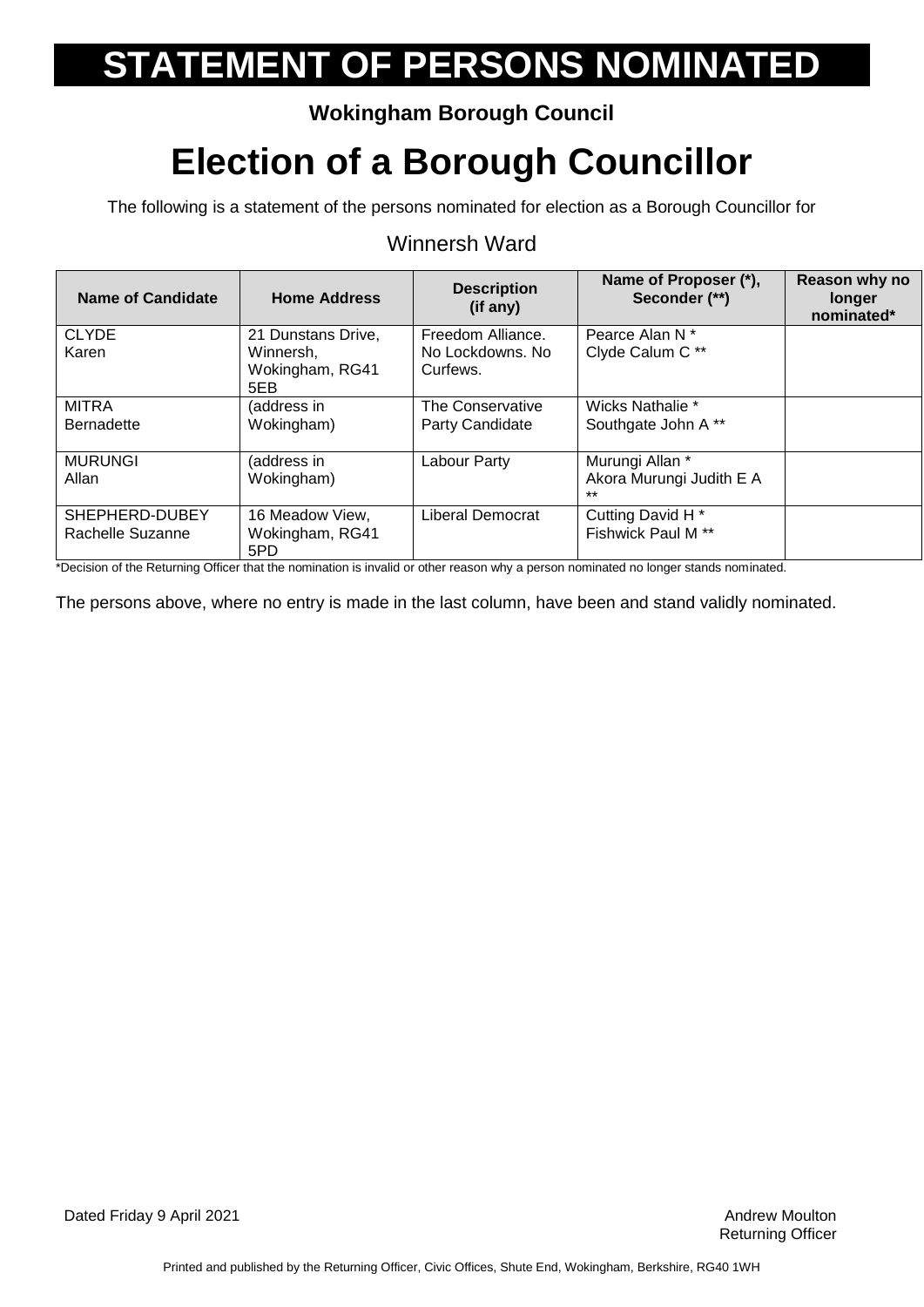### **Wokingham Borough Council**

## **Election of a Borough Councillor**

The following is a statement of the persons nominated for election as a Borough Councillor for

#### Winnersh Ward

| <b>Name of Candidate</b>                                                        | <b>Home Address</b>                                                                                                   | <b>Description</b><br>(if any) | Name of Proposer (*),<br>Seconder (**)                             | Reason why no<br><b>longer</b><br>nominated* |
|---------------------------------------------------------------------------------|-----------------------------------------------------------------------------------------------------------------------|--------------------------------|--------------------------------------------------------------------|----------------------------------------------|
| <b>CLYDE</b>                                                                    | 21 Dunstans Drive,                                                                                                    | Freedom Alliance.              | Pearce Alan N *                                                    |                                              |
| Karen                                                                           | Winnersh.<br>Wokingham, RG41<br>5EB                                                                                   | No Lockdowns, No<br>Curfews.   | Clyde Calum C**                                                    |                                              |
| <b>MITRA</b>                                                                    | (address in                                                                                                           | The Conservative               | Wicks Nathalie *                                                   |                                              |
| <b>Bernadette</b>                                                               | Wokingham)                                                                                                            | Party Candidate                | Southgate John A**                                                 |                                              |
| <b>MURUNGI</b>                                                                  | (address in                                                                                                           | Labour Party                   | Murungi Allan *                                                    |                                              |
| Allan                                                                           | Wokingham)                                                                                                            |                                | Akora Murungi Judith E A<br>$***$                                  |                                              |
| SHEPHERD-DUBEY                                                                  | 16 Meadow View,                                                                                                       | Liberal Democrat               | Cutting David H <sup>*</sup>                                       |                                              |
| Rachelle Suzanne                                                                | Wokingham, RG41                                                                                                       |                                | Fishwick Paul M <sup>**</sup>                                      |                                              |
| $\mathbf{B}$ . The set of the $\mathbf{B}$ stress from $\mathbf{C}(\mathbf{C})$ | 5PD<br>a de la caractera de la caractera de la caractera de la caractera de la caractera de la caractera de la caract |                                | a tha can a child can be a completed a change of a contract of the |                                              |

\*Decision of the Returning Officer that the nomination is invalid or other reason why a person nominated no longer stands nominated.